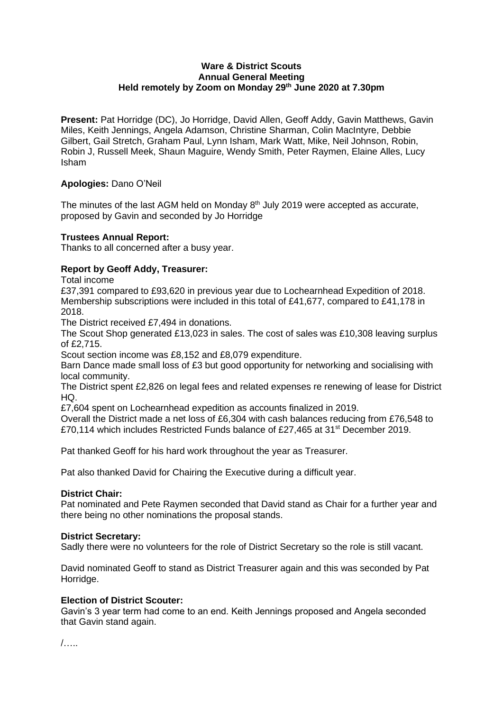# **Ware & District Scouts Annual General Meeting Held remotely by Zoom on Monday 29th June 2020 at 7.30pm**

**Present:** Pat Horridge (DC), Jo Horridge, David Allen, Geoff Addy, Gavin Matthews, Gavin Miles, Keith Jennings, Angela Adamson, Christine Sharman, Colin MacIntyre, Debbie Gilbert, Gail Stretch, Graham Paul, Lynn Isham, Mark Watt, Mike, Neil Johnson, Robin, Robin J, Russell Meek, Shaun Maguire, Wendy Smith, Peter Raymen, Elaine Alles, Lucy Isham

# **Apologies:** Dano O'Neil

The minutes of the last AGM held on Monday  $8<sup>th</sup>$  July 2019 were accepted as accurate, proposed by Gavin and seconded by Jo Horridge

# **Trustees Annual Report:**

Thanks to all concerned after a busy year.

# **Report by Geoff Addy, Treasurer:**

Total income

£37,391 compared to £93,620 in previous year due to Lochearnhead Expedition of 2018. Membership subscriptions were included in this total of £41,677, compared to £41,178 in 2018.

The District received £7,494 in donations.

The Scout Shop generated £13,023 in sales. The cost of sales was £10,308 leaving surplus of £2,715.

Scout section income was £8,152 and £8,079 expenditure.

Barn Dance made small loss of £3 but good opportunity for networking and socialising with local community.

The District spent £2,826 on legal fees and related expenses re renewing of lease for District HQ.

£7,604 spent on Lochearnhead expedition as accounts finalized in 2019.

Overall the District made a net loss of £6,304 with cash balances reducing from £76,548 to £70,114 which includes Restricted Funds balance of £27,465 at 31<sup>st</sup> December 2019.

Pat thanked Geoff for his hard work throughout the year as Treasurer.

Pat also thanked David for Chairing the Executive during a difficult year.

# **District Chair:**

Pat nominated and Pete Raymen seconded that David stand as Chair for a further year and there being no other nominations the proposal stands.

# **District Secretary:**

Sadly there were no volunteers for the role of District Secretary so the role is still vacant.

David nominated Geoff to stand as District Treasurer again and this was seconded by Pat Horridge.

# **Election of District Scouter:**

Gavin's 3 year term had come to an end. Keith Jennings proposed and Angela seconded that Gavin stand again.